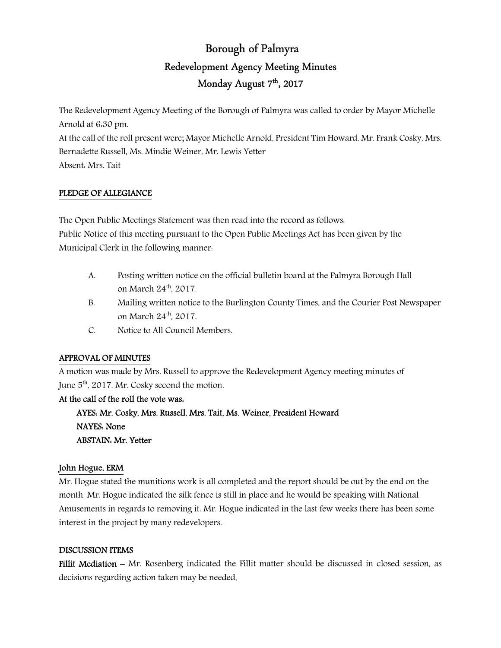# Borough of Palmyra Redevelopment Agency Meeting Minutes Monday August 7<sup>th</sup>, 2017

The Redevelopment Agency Meeting of the Borough of Palmyra was called to order by Mayor Michelle Arnold at 6:30 pm. At the call of the roll present were; Mayor Michelle Arnold, President Tim Howard, Mr. Frank Cosky, Mrs. Bernadette Russell, Ms. Mindie Weiner, Mr. Lewis Yetter Absent: Mrs. Tait

## PLEDGE OF ALLEGIANCE

The Open Public Meetings Statement was then read into the record as follows: Public Notice of this meeting pursuant to the Open Public Meetings Act has been given by the Municipal Clerk in the following manner:

- A. Posting written notice on the official bulletin board at the Palmyra Borough Hall on March 24<sup>th</sup>, 2017.
- B. Mailing written notice to the Burlington County Times, and the Courier Post Newspaper on March 24<sup>th</sup>, 2017.
- C. Notice to All Council Members.

## APPROVAL OF MINUTES

A motion was made by Mrs. Russell to approve the Redevelopment Agency meeting minutes of June  $5<sup>th</sup>$ , 2017. Mr. Cosky second the motion.

## At the call of the roll the vote was:

 AYES: Mr. Cosky, Mrs. Russell, Mrs. Tait, Ms. Weiner, President Howard NAYES: None ABSTAIN: Mr. Yetter

## John Hogue, ERM

Mr. Hogue stated the munitions work is all completed and the report should be out by the end on the month. Mr. Hogue indicated the silk fence is still in place and he would be speaking with National Amusements in regards to removing it. Mr. Hogue indicated in the last few weeks there has been some interest in the project by many redevelopers.

## DISCUSSION ITEMS

Fillit Mediation – Mr. Rosenberg indicated the Fillit matter should be discussed in closed session, as decisions regarding action taken may be needed.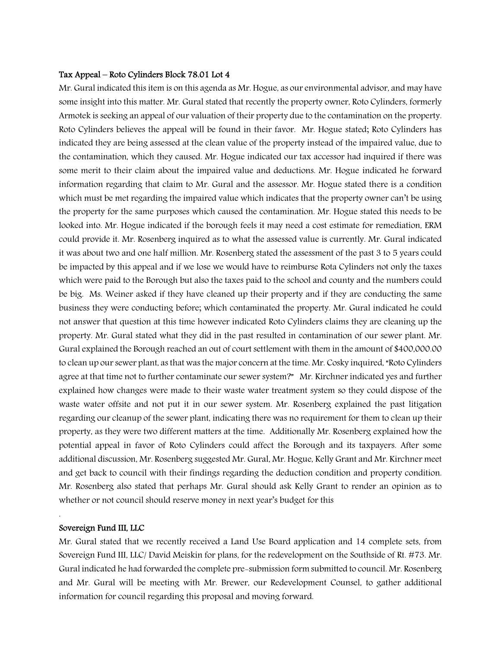#### Tax Appeal – Roto Cylinders Block 78.01 Lot 4

Mr. Gural indicated this item is on this agenda as Mr. Hogue, as our environmental advisor, and may have some insight into this matter. Mr. Gural stated that recently the property owner, Roto Cylinders, formerly Armotek is seeking an appeal of our valuation of their property due to the contamination on the property. Roto Cylinders believes the appeal will be found in their favor. Mr. Hogue stated; Roto Cylinders has indicated they are being assessed at the clean value of the property instead of the impaired value, due to the contamination, which they caused. Mr. Hogue indicated our tax accessor had inquired if there was some merit to their claim about the impaired value and deductions. Mr. Hogue indicated he forward information regarding that claim to Mr. Gural and the assessor. Mr. Hogue stated there is a condition which must be met regarding the impaired value which indicates that the property owner can't be using the property for the same purposes which caused the contamination. Mr. Hogue stated this needs to be looked into. Mr. Hogue indicated if the borough feels it may need a cost estimate for remediation, ERM could provide it. Mr. Rosenberg inquired as to what the assessed value is currently. Mr. Gural indicated it was about two and one half million. Mr. Rosenberg stated the assessment of the past 3 to 5 years could be impacted by this appeal and if we lose we would have to reimburse Rota Cylinders not only the taxes which were paid to the Borough but also the taxes paid to the school and county and the numbers could be big. Ms. Weiner asked if they have cleaned up their property and if they are conducting the same business they were conducting before; which contaminated the property. Mr. Gural indicated he could not answer that question at this time however indicated Roto Cylinders claims they are cleaning up the property. Mr. Gural stated what they did in the past resulted in contamination of our sewer plant. Mr. Gural explained the Borough reached an out of court settlement with them in the amount of \$400,000.00 to clean up our sewer plant, as that was the major concern at the time. Mr. Cosky inquired, "Roto Cylinders agree at that time not to further contaminate our sewer system?" Mr. Kirchner indicated yes and further explained how changes were made to their waste water treatment system so they could dispose of the waste water offsite and not put it in our sewer system. Mr. Rosenberg explained the past litigation regarding our cleanup of the sewer plant, indicating there was no requirement for them to clean up their property, as they were two different matters at the time. Additionally Mr. Rosenberg explained how the potential appeal in favor of Roto Cylinders could affect the Borough and its taxpayers. After some additional discussion, Mr. Rosenberg suggested Mr. Gural, Mr. Hogue, Kelly Grant and Mr. Kirchner meet and get back to council with their findings regarding the deduction condition and property condition. Mr. Rosenberg also stated that perhaps Mr. Gural should ask Kelly Grant to render an opinion as to whether or not council should reserve money in next year's budget for this

#### Sovereign Fund III, LLC

.

Mr. Gural stated that we recently received a Land Use Board application and 14 complete sets, from Sovereign Fund III, LLC/ David Meiskin for plans, for the redevelopment on the Southside of Rt. #73. Mr. Gural indicated he had forwarded the complete pre-submission form submitted to council. Mr. Rosenberg and Mr. Gural will be meeting with Mr. Brewer, our Redevelopment Counsel, to gather additional information for council regarding this proposal and moving forward.